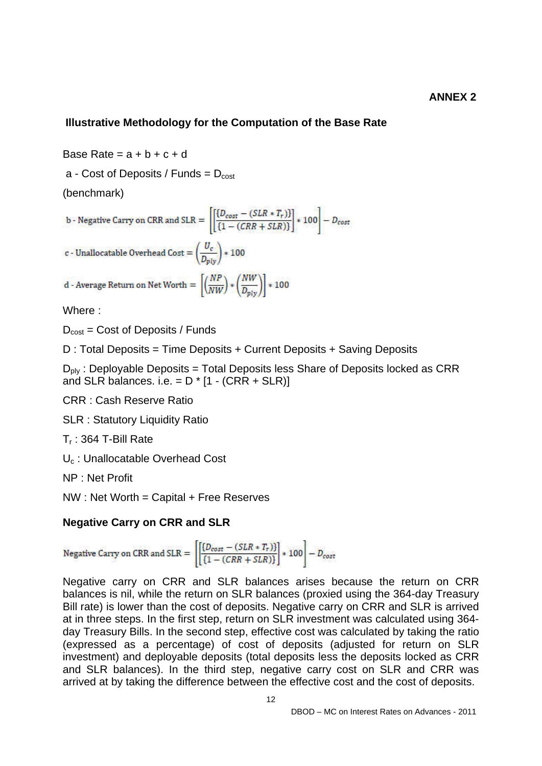## **Illustrative Methodology for the Computation of the Base Rate**

Base Rate =  $a + b + c + d$ 

a - Cost of Deposits / Funds =  $D_{cost}$ 

(benchmark)

b - Negative Carry on CRR and SLR = 
$$
\left[ \left[ \frac{\{D_{cost} - (SLR * T_r)\}}{\{1 - (CRR + SLR)\}} \right] * 100 \right] - D_{cost}
$$

c - Unallocatable Overhead Cost =  $\left(\frac{U_c}{D_{\text{piv}}}\right)$  \* 100

d - Average Return on Net Worth  $= \left[ \left( \frac{NP}{NW} \right) * \left( \frac{NW}{D_{\text{ntv}}} \right) \right] * 100$ 

Where :

 $D_{\text{cost}} = \text{Cost of Deposis} / \text{Funds}$ 

D : Total Deposits = Time Deposits + Current Deposits + Saving Deposits

 $D_{\text{ply}}$ : Deployable Deposits = Total Deposits less Share of Deposits locked as CRR and SLR balances. i.e.  $= D * [1 - (CRR + SLR)]$ 

CRR : Cash Reserve Ratio

SLR : Statutory Liquidity Ratio

 $T_r$ : 364 T-Bill Rate

U<sub>c</sub>: Unallocatable Overhead Cost

NP : Net Profit

NW : Net Worth = Capital + Free Reserves

## **Negative Carry on CRR and SLR**

Negative Carry on CRR and SLR =  $\left[\frac{\left\{D_{cost} - (SLR * T_r)\right\}}{\left\{1 - (CRR + SLR)\right\}}\right] * 100 - D_{cost}$ 

Negative carry on CRR and SLR balances arises because the return on CRR balances is nil, while the return on SLR balances (proxied using the 364-day Treasury Bill rate) is lower than the cost of deposits. Negative carry on CRR and SLR is arrived at in three steps. In the first step, return on SLR investment was calculated using 364 day Treasury Bills. In the second step, effective cost was calculated by taking the ratio (expressed as a percentage) of cost of deposits (adjusted for return on SLR investment) and deployable deposits (total deposits less the deposits locked as CRR and SLR balances). In the third step, negative carry cost on SLR and CRR was arrived at by taking the difference between the effective cost and the cost of deposits.